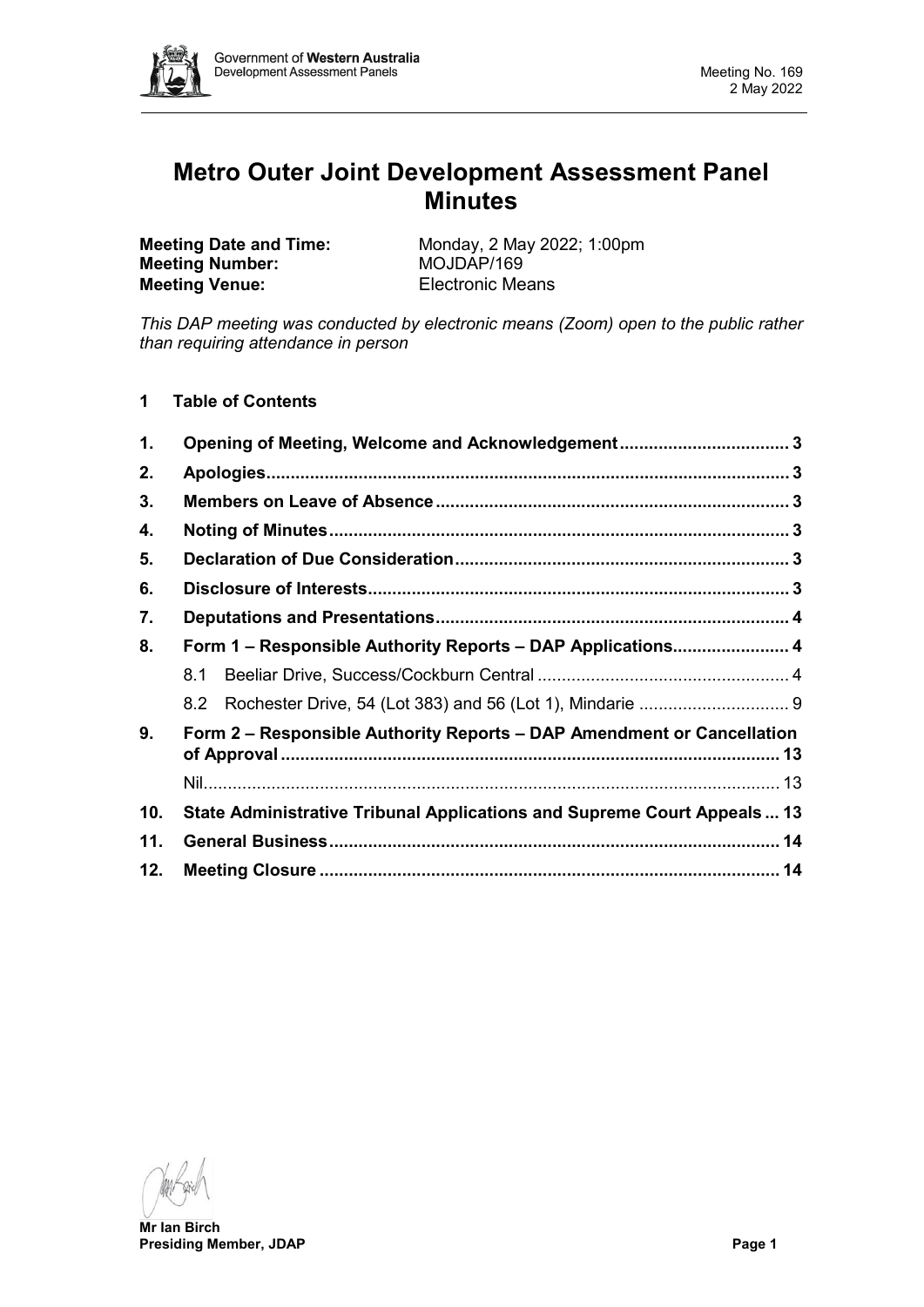

# **Metro Outer Joint Development Assessment Panel Minutes**

**Meeting Number: Meeting Venue:** Electronic Means

**Meeting Date and Time:** Monday, 2 May 2022; 1:00pm<br> **Meeting Number:** MOJDAP/169

*This DAP meeting was conducted by electronic means (Zoom) open to the public rather than requiring attendance in person*

**1 Table of Contents**

| 1.                                                                           | Opening of Meeting, Welcome and Acknowledgement 3                       |  |  |  |  |  |
|------------------------------------------------------------------------------|-------------------------------------------------------------------------|--|--|--|--|--|
| 2.                                                                           |                                                                         |  |  |  |  |  |
| 3.                                                                           |                                                                         |  |  |  |  |  |
| 4.                                                                           |                                                                         |  |  |  |  |  |
| 5.                                                                           |                                                                         |  |  |  |  |  |
| 6.                                                                           |                                                                         |  |  |  |  |  |
| 7.                                                                           |                                                                         |  |  |  |  |  |
| 8.                                                                           | Form 1 – Responsible Authority Reports – DAP Applications 4             |  |  |  |  |  |
|                                                                              | 8.1                                                                     |  |  |  |  |  |
|                                                                              |                                                                         |  |  |  |  |  |
| Form 2 – Responsible Authority Reports – DAP Amendment or Cancellation<br>9. |                                                                         |  |  |  |  |  |
|                                                                              |                                                                         |  |  |  |  |  |
| 10.                                                                          | State Administrative Tribunal Applications and Supreme Court Appeals 13 |  |  |  |  |  |
| 11.                                                                          |                                                                         |  |  |  |  |  |
| 12.                                                                          |                                                                         |  |  |  |  |  |

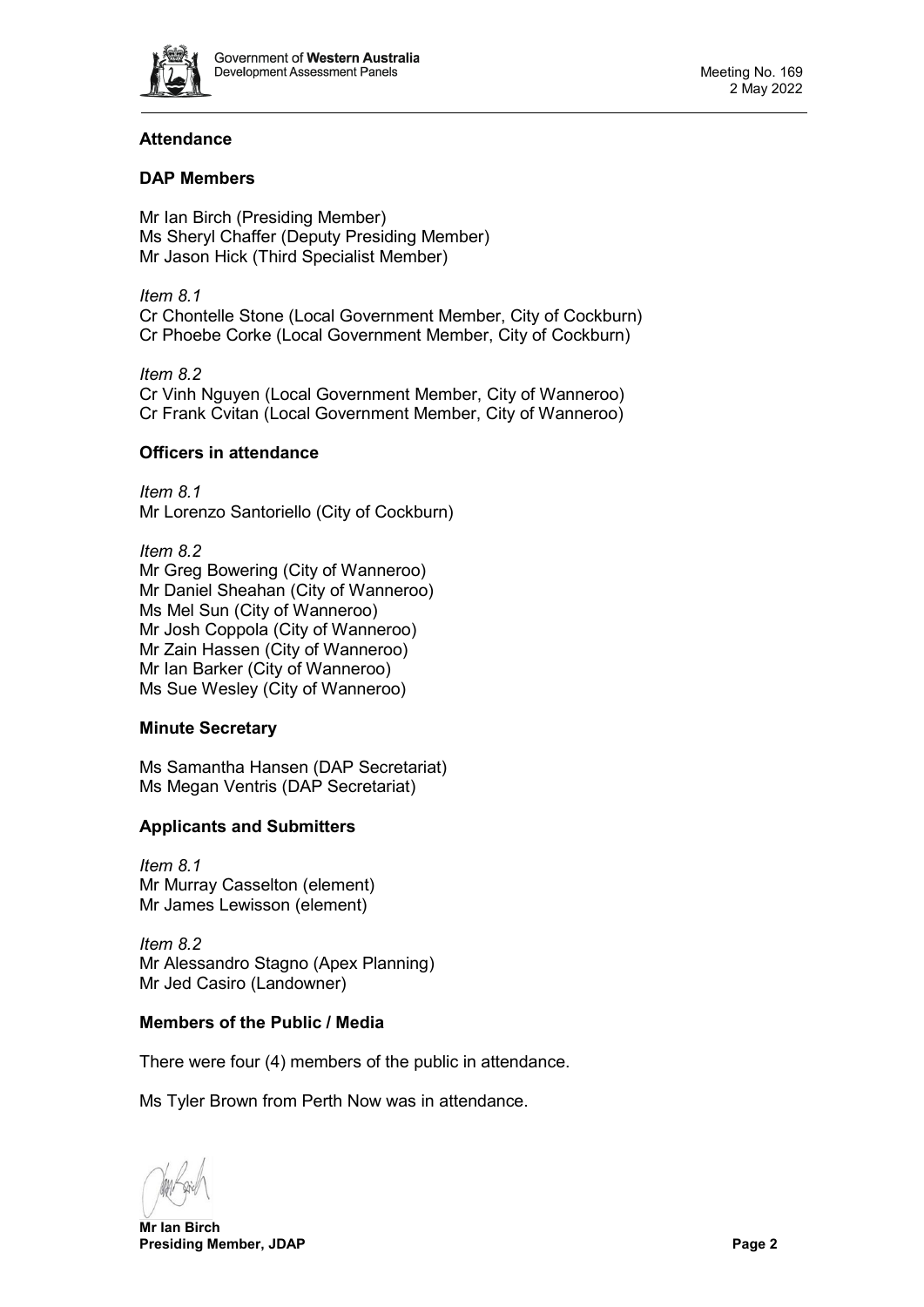

# **Attendance**

# **DAP Members**

Mr Ian Birch (Presiding Member) Ms Sheryl Chaffer (Deputy Presiding Member) Mr Jason Hick (Third Specialist Member)

*Item 8.1* Cr Chontelle Stone (Local Government Member, City of Cockburn) Cr Phoebe Corke (Local Government Member, City of Cockburn)

*Item 8.2* Cr Vinh Nguyen (Local Government Member, City of Wanneroo) Cr Frank Cvitan (Local Government Member, City of Wanneroo)

# **Officers in attendance**

*Item 8.1* Mr Lorenzo Santoriello (City of Cockburn)

*Item 8.2* Mr Greg Bowering (City of Wanneroo) Mr Daniel Sheahan (City of Wanneroo) Ms Mel Sun (City of Wanneroo) Mr Josh Coppola (City of Wanneroo) Mr Zain Hassen (City of Wanneroo) Mr Ian Barker (City of Wanneroo) Ms Sue Wesley (City of Wanneroo)

# **Minute Secretary**

Ms Samantha Hansen (DAP Secretariat) Ms Megan Ventris (DAP Secretariat)

# **Applicants and Submitters**

*Item 8.1* Mr Murray Casselton (element) Mr James Lewisson (element)

*Item 8.2* Mr Alessandro Stagno (Apex Planning) Mr Jed Casiro (Landowner)

# **Members of the Public / Media**

There were four (4) members of the public in attendance.

Ms Tyler Brown from Perth Now was in attendance.

**Mr Ian Birch Presiding Member, JDAP Page 2**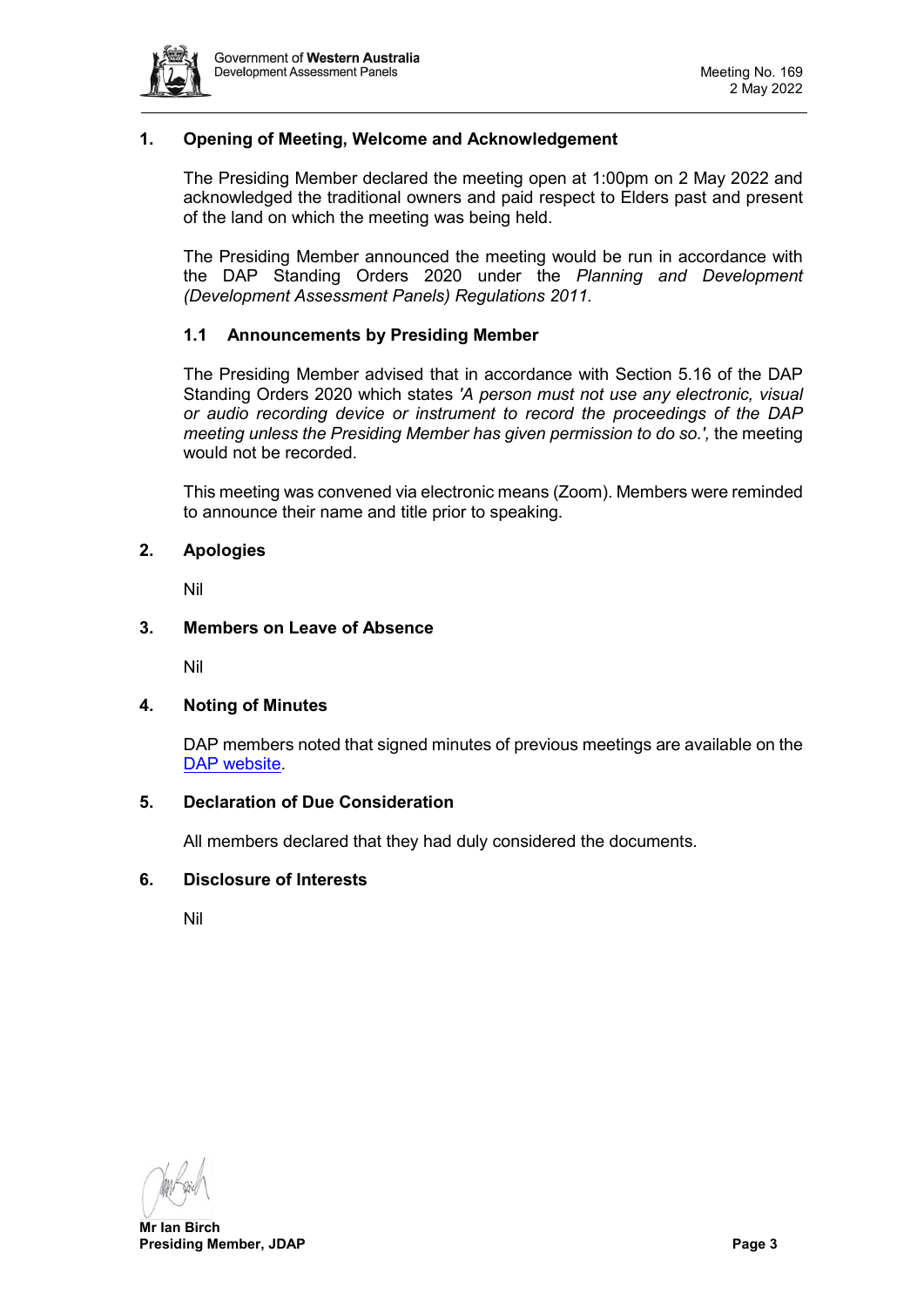

# <span id="page-2-0"></span>**1. Opening of Meeting, Welcome and Acknowledgement**

The Presiding Member declared the meeting open at 1:00pm on 2 May 2022 and acknowledged the traditional owners and paid respect to Elders past and present of the land on which the meeting was being held.

The Presiding Member announced the meeting would be run in accordance with the DAP Standing Orders 2020 under the *Planning and Development (Development Assessment Panels) Regulations 2011.*

# **1.1 Announcements by Presiding Member**

The Presiding Member advised that in accordance with Section 5.16 of the DAP Standing Orders 2020 which states *'A person must not use any electronic, visual or audio recording device or instrument to record the proceedings of the DAP meeting unless the Presiding Member has given permission to do so.',* the meeting would not be recorded.

This meeting was convened via electronic means (Zoom). Members were reminded to announce their name and title prior to speaking.

# <span id="page-2-1"></span>**2. Apologies**

Nil

# <span id="page-2-2"></span>**3. Members on Leave of Absence**

Nil

### <span id="page-2-3"></span>**4. Noting of Minutes**

DAP members noted that signed minutes of previous meetings are available on the [DAP website.](https://www.dplh.wa.gov.au/about/development-assessment-panels/daps-agendas-and-minutes)

### <span id="page-2-4"></span>**5. Declaration of Due Consideration**

All members declared that they had duly considered the documents.

# <span id="page-2-5"></span>**6. Disclosure of Interests**

Nil

**Mr Ian Birch Presiding Member, JDAP Page 3**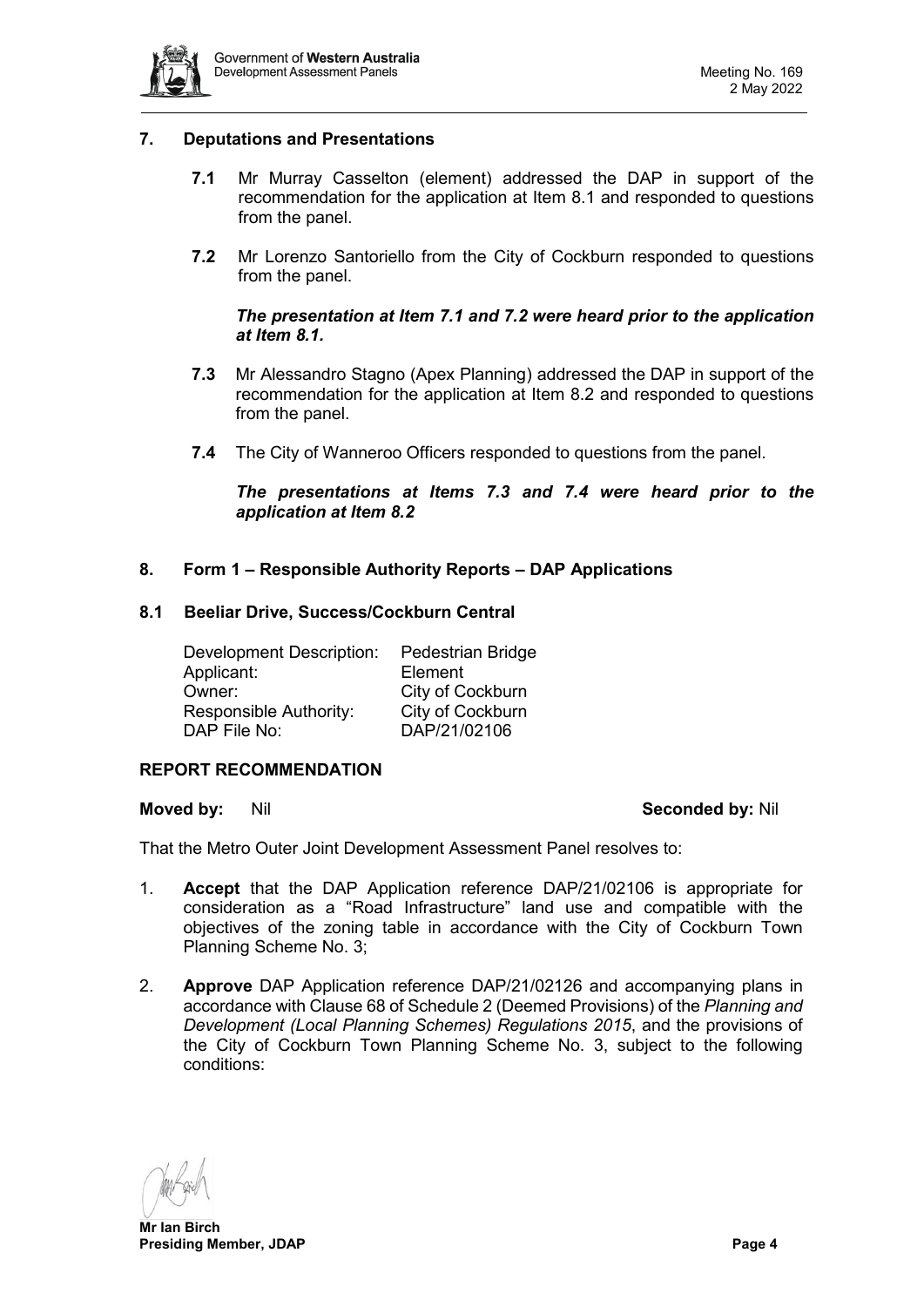

# <span id="page-3-0"></span>**7. Deputations and Presentations**

- **7.1** Mr Murray Casselton (element) addressed the DAP in support of the recommendation for the application at Item 8.1 and responded to questions from the panel.
- **7.2** Mr Lorenzo Santoriello from the City of Cockburn responded to questions from the panel.

# *The presentation at Item 7.1 and 7.2 were heard prior to the application at Item 8.1.*

- **7.3** Mr Alessandro Stagno (Apex Planning) addressed the DAP in support of the recommendation for the application at Item 8.2 and responded to questions from the panel.
- **7.4** The City of Wanneroo Officers responded to questions from the panel.

*The presentations at Items 7.3 and 7.4 were heard prior to the application at Item 8.2*

# <span id="page-3-1"></span>**8. Form 1 – Responsible Authority Reports – DAP Applications**

#### <span id="page-3-2"></span>**8.1 Beeliar Drive, Success/Cockburn Central**

Development Description: Pedestrian Bridge Applicant:<br>Owner: City of Cockburn Responsible Authority: City of Cockburn<br>DAP File No: DAP/21/02106 DAP/21/02106

### **REPORT RECOMMENDATION**

#### **Moved by:** Nil **Seconded by:** Nil

That the Metro Outer Joint Development Assessment Panel resolves to:

- 1. **Accept** that the DAP Application reference DAP/21/02106 is appropriate for consideration as a "Road Infrastructure" land use and compatible with the objectives of the zoning table in accordance with the City of Cockburn Town Planning Scheme No. 3;
- 2. **Approve** DAP Application reference DAP/21/02126 and accompanying plans in accordance with Clause 68 of Schedule 2 (Deemed Provisions) of the *Planning and Development (Local Planning Schemes) Regulations 2015*, and the provisions of the City of Cockburn Town Planning Scheme No. 3, subject to the following conditions: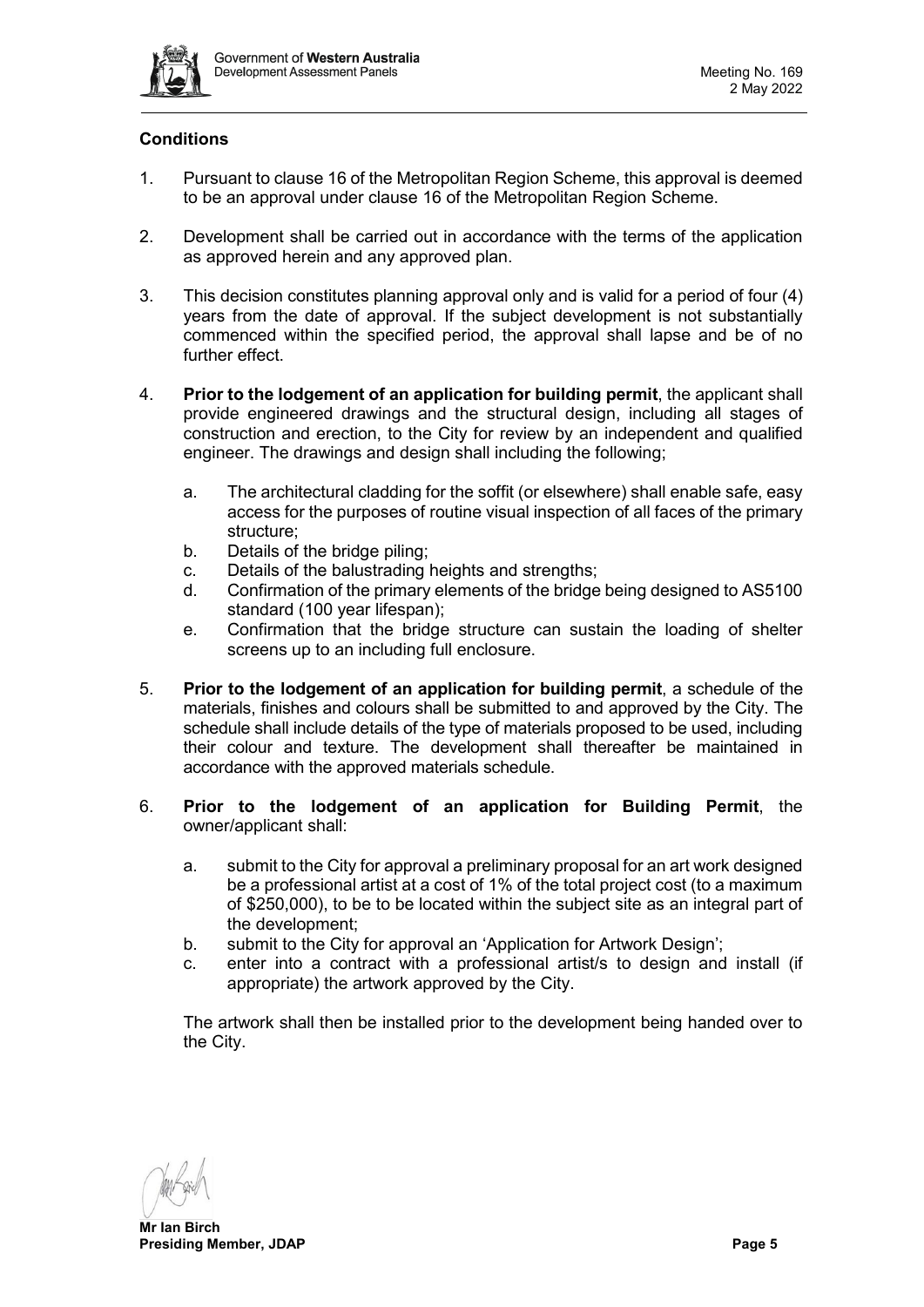

# **Conditions**

- 1. Pursuant to clause 16 of the Metropolitan Region Scheme, this approval is deemed to be an approval under clause 16 of the Metropolitan Region Scheme.
- 2. Development shall be carried out in accordance with the terms of the application as approved herein and any approved plan.
- 3. This decision constitutes planning approval only and is valid for a period of four (4) years from the date of approval. If the subject development is not substantially commenced within the specified period, the approval shall lapse and be of no further effect.
- 4. **Prior to the lodgement of an application for building permit**, the applicant shall provide engineered drawings and the structural design, including all stages of construction and erection, to the City for review by an independent and qualified engineer. The drawings and design shall including the following;
	- a. The architectural cladding for the soffit (or elsewhere) shall enable safe, easy access for the purposes of routine visual inspection of all faces of the primary structure;
	- b. Details of the bridge piling;
	- c. Details of the balustrading heights and strengths;<br>d. Confirmation of the primary elements of the bridge
	- Confirmation of the primary elements of the bridge being designed to AS5100 standard (100 year lifespan);
	- e. Confirmation that the bridge structure can sustain the loading of shelter screens up to an including full enclosure.
- 5. **Prior to the lodgement of an application for building permit**, a schedule of the materials, finishes and colours shall be submitted to and approved by the City. The schedule shall include details of the type of materials proposed to be used, including their colour and texture. The development shall thereafter be maintained in accordance with the approved materials schedule.
- 6. **Prior to the lodgement of an application for Building Permit**, the owner/applicant shall:
	- a. submit to the City for approval a preliminary proposal for an art work designed be a professional artist at a cost of 1% of the total project cost (to a maximum of \$250,000), to be to be located within the subject site as an integral part of the development;
	- b. submit to the City for approval an 'Application for Artwork Design';
	- c. enter into a contract with a professional artist/s to design and install (if appropriate) the artwork approved by the City.

The artwork shall then be installed prior to the development being handed over to the City.

**Mr Ian Birch Presiding Member, JDAP Page 5**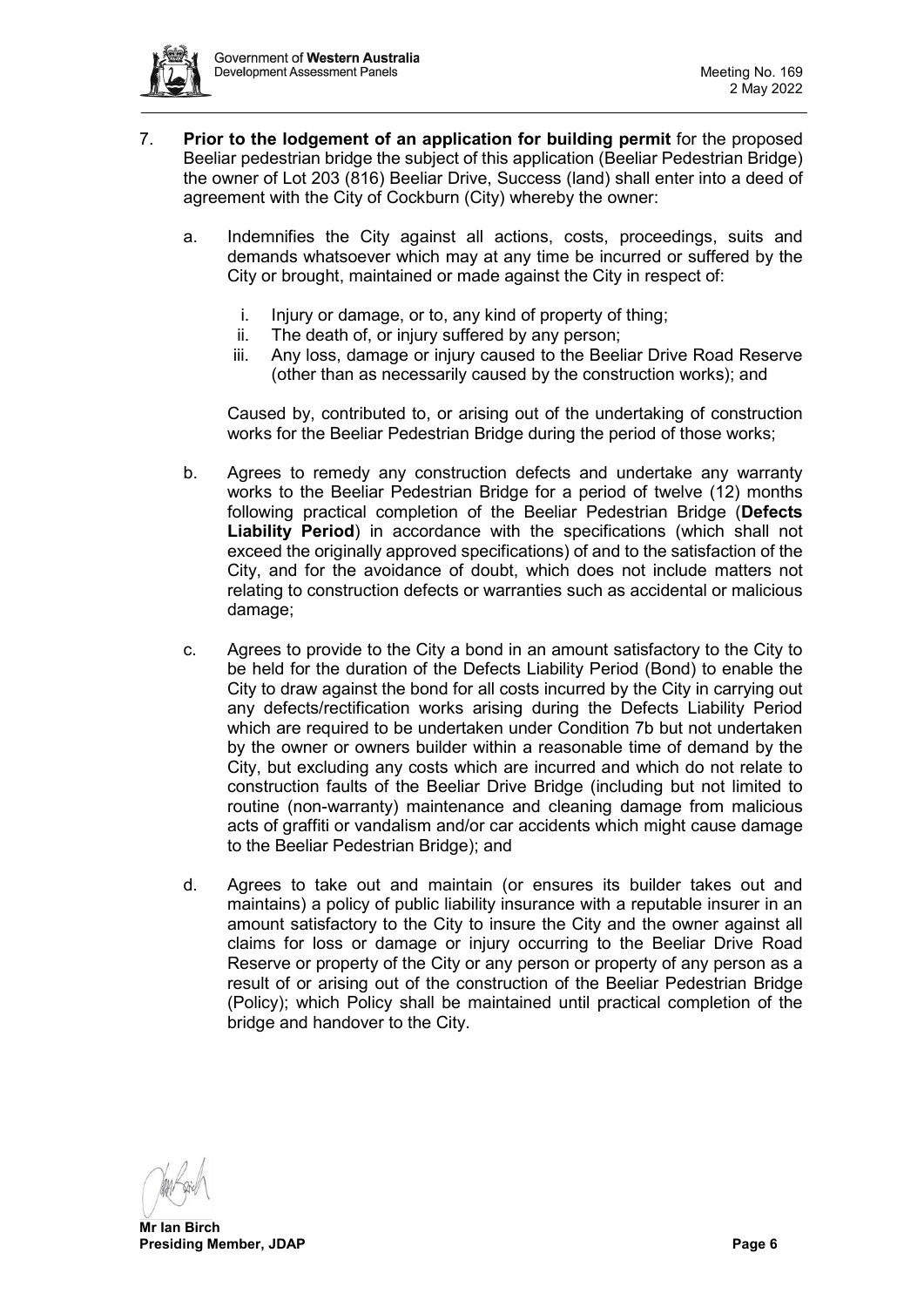

- 7. **Prior to the lodgement of an application for building permit** for the proposed Beeliar pedestrian bridge the subject of this application (Beeliar Pedestrian Bridge) the owner of Lot 203 (816) Beeliar Drive, Success (land) shall enter into a deed of agreement with the City of Cockburn (City) whereby the owner:
	- a. Indemnifies the City against all actions, costs, proceedings, suits and demands whatsoever which may at any time be incurred or suffered by the City or brought, maintained or made against the City in respect of:
		- i. Injury or damage, or to, any kind of property of thing;
		- ii. The death of, or injury suffered by any person;
		- iii. Any loss, damage or injury caused to the Beeliar Drive Road Reserve (other than as necessarily caused by the construction works); and

Caused by, contributed to, or arising out of the undertaking of construction works for the Beeliar Pedestrian Bridge during the period of those works;

- b. Agrees to remedy any construction defects and undertake any warranty works to the Beeliar Pedestrian Bridge for a period of twelve (12) months following practical completion of the Beeliar Pedestrian Bridge (**Defects Liability Period**) in accordance with the specifications (which shall not exceed the originally approved specifications) of and to the satisfaction of the City, and for the avoidance of doubt, which does not include matters not relating to construction defects or warranties such as accidental or malicious damage:
- c. Agrees to provide to the City a bond in an amount satisfactory to the City to be held for the duration of the Defects Liability Period (Bond) to enable the City to draw against the bond for all costs incurred by the City in carrying out any defects/rectification works arising during the Defects Liability Period which are required to be undertaken under Condition 7b but not undertaken by the owner or owners builder within a reasonable time of demand by the City, but excluding any costs which are incurred and which do not relate to construction faults of the Beeliar Drive Bridge (including but not limited to routine (non-warranty) maintenance and cleaning damage from malicious acts of graffiti or vandalism and/or car accidents which might cause damage to the Beeliar Pedestrian Bridge); and
- d. Agrees to take out and maintain (or ensures its builder takes out and maintains) a policy of public liability insurance with a reputable insurer in an amount satisfactory to the City to insure the City and the owner against all claims for loss or damage or injury occurring to the Beeliar Drive Road Reserve or property of the City or any person or property of any person as a result of or arising out of the construction of the Beeliar Pedestrian Bridge (Policy); which Policy shall be maintained until practical completion of the bridge and handover to the City.

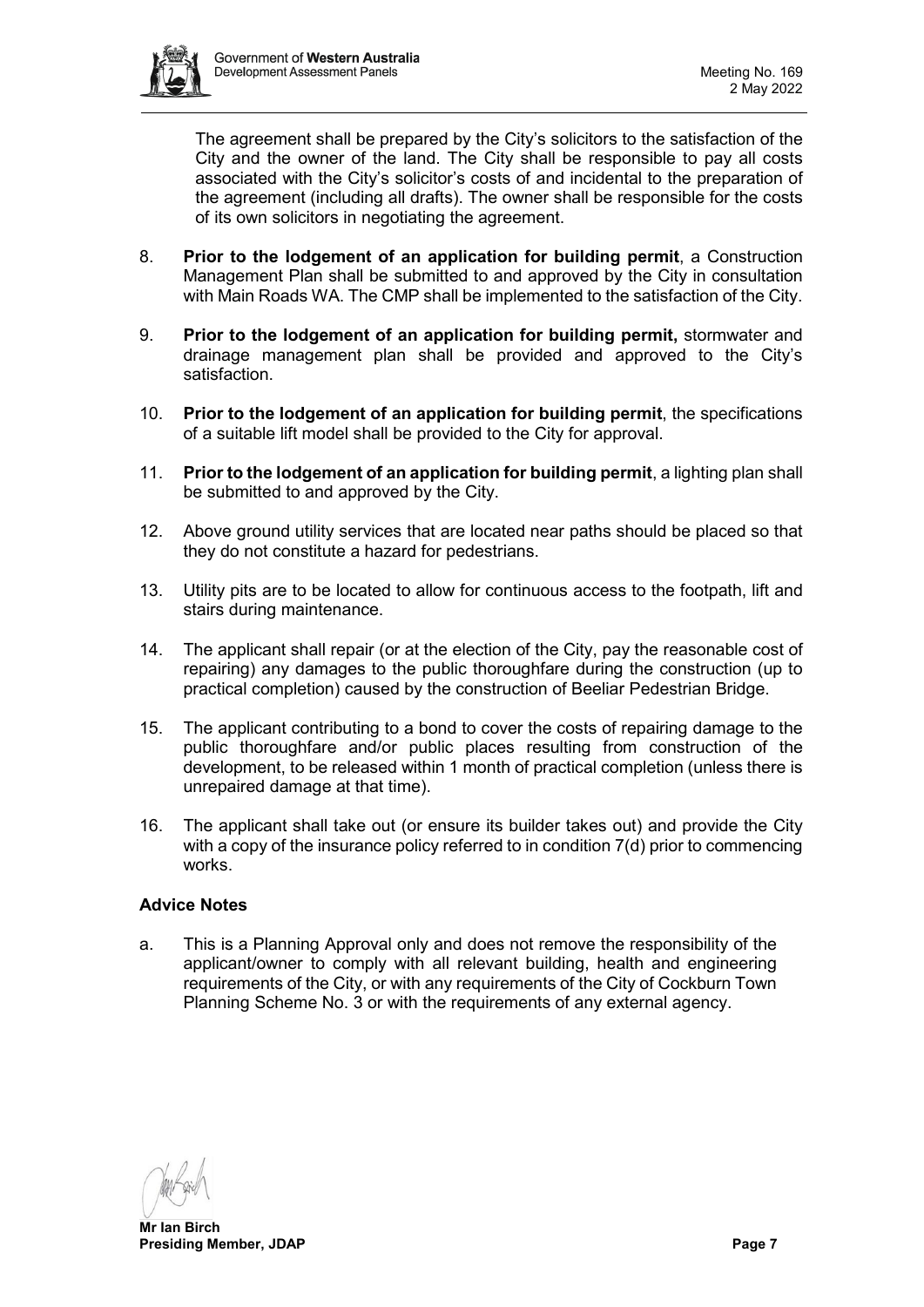

The agreement shall be prepared by the City's solicitors to the satisfaction of the City and the owner of the land. The City shall be responsible to pay all costs associated with the City's solicitor's costs of and incidental to the preparation of the agreement (including all drafts). The owner shall be responsible for the costs of its own solicitors in negotiating the agreement.

- 8. **Prior to the lodgement of an application for building permit**, a Construction Management Plan shall be submitted to and approved by the City in consultation with Main Roads WA. The CMP shall be implemented to the satisfaction of the City.
- 9. **Prior to the lodgement of an application for building permit,** stormwater and drainage management plan shall be provided and approved to the City's satisfaction.
- 10. **Prior to the lodgement of an application for building permit**, the specifications of a suitable lift model shall be provided to the City for approval.
- 11. **Prior to the lodgement of an application for building permit**, a lighting plan shall be submitted to and approved by the City.
- 12. Above ground utility services that are located near paths should be placed so that they do not constitute a hazard for pedestrians.
- 13. Utility pits are to be located to allow for continuous access to the footpath, lift and stairs during maintenance.
- 14. The applicant shall repair (or at the election of the City, pay the reasonable cost of repairing) any damages to the public thoroughfare during the construction (up to practical completion) caused by the construction of Beeliar Pedestrian Bridge.
- 15. The applicant contributing to a bond to cover the costs of repairing damage to the public thoroughfare and/or public places resulting from construction of the development, to be released within 1 month of practical completion (unless there is unrepaired damage at that time).
- 16. The applicant shall take out (or ensure its builder takes out) and provide the City with a copy of the insurance policy referred to in condition 7(d) prior to commencing works.

# **Advice Notes**

a. This is a Planning Approval only and does not remove the responsibility of the applicant/owner to comply with all relevant building, health and engineering requirements of the City, or with any requirements of the City of Cockburn Town Planning Scheme No. 3 or with the requirements of any external agency.

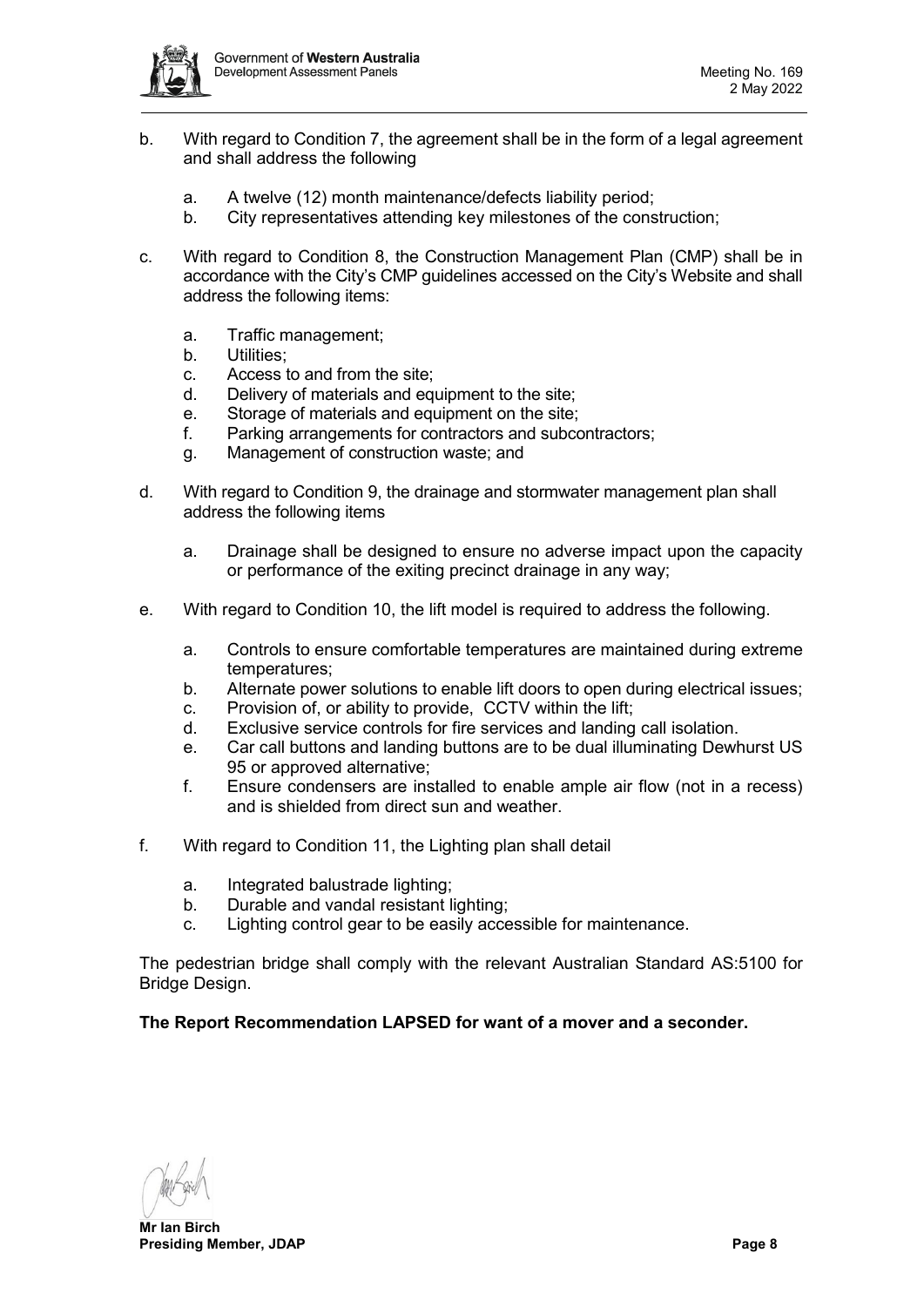

- b. With regard to Condition 7, the agreement shall be in the form of a legal agreement and shall address the following
	- a. A twelve (12) month maintenance/defects liability period;
	- b. City representatives attending key milestones of the construction;
- c. With regard to Condition 8, the Construction Management Plan (CMP) shall be in accordance with the City's CMP guidelines accessed on the City's Website and shall address the following items:
	- a. Traffic management;
	- b. Utilities;
	- c. Access to and from the site;
	- d. Delivery of materials and equipment to the site;
	- e. Storage of materials and equipment on the site;
	- f. Parking arrangements for contractors and subcontractors;
	- g. Management of construction waste; and
- d. With regard to Condition 9, the drainage and stormwater management plan shall address the following items
	- a. Drainage shall be designed to ensure no adverse impact upon the capacity or performance of the exiting precinct drainage in any way;
- e. With regard to Condition 10, the lift model is required to address the following.
	- a. Controls to ensure comfortable temperatures are maintained during extreme temperatures;
	- b. Alternate power solutions to enable lift doors to open during electrical issues;
	- c. Provision of, or ability to provide, CCTV within the lift;
	- d. Exclusive service controls for fire services and landing call isolation.
	- e. Car call buttons and landing buttons are to be dual illuminating Dewhurst US 95 or approved alternative;
	- f. Ensure condensers are installed to enable ample air flow (not in a recess) and is shielded from direct sun and weather.
- f. With regard to Condition 11, the Lighting plan shall detail
	- a. Integrated balustrade lighting;
	- b. Durable and vandal resistant lighting;
	- c. Lighting control gear to be easily accessible for maintenance.

The pedestrian bridge shall comply with the relevant Australian Standard AS:5100 for Bridge Design.

# **The Report Recommendation LAPSED for want of a mover and a seconder.**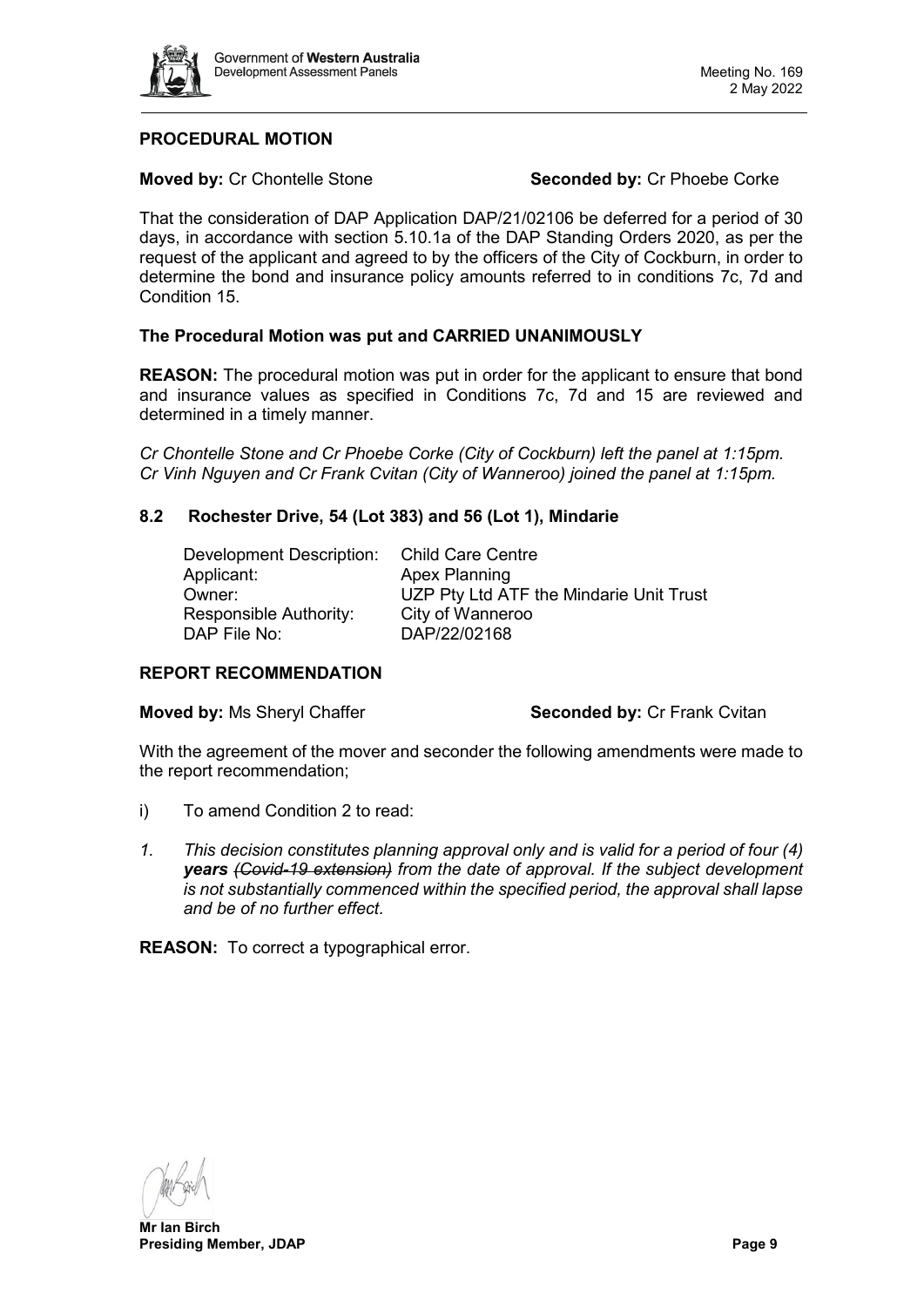

# **PROCEDURAL MOTION**

**Moved by:** Cr Chontelle Stone **Seconded by:** Cr Phoebe Corke

That the consideration of DAP Application DAP/21/02106 be deferred for a period of 30 days, in accordance with section 5.10.1a of the DAP Standing Orders 2020, as per the request of the applicant and agreed to by the officers of the City of Cockburn, in order to determine the bond and insurance policy amounts referred to in conditions 7c, 7d and Condition 15.

# **The Procedural Motion was put and CARRIED UNANIMOUSLY**

**REASON:** The procedural motion was put in order for the applicant to ensure that bond and insurance values as specified in Conditions 7c, 7d and 15 are reviewed and determined in a timely manner.

*Cr Chontelle Stone and Cr Phoebe Corke (City of Cockburn) left the panel at 1:15pm. Cr Vinh Nguyen and Cr Frank Cvitan (City of Wanneroo) joined the panel at 1:15pm.*

# **8.2 Rochester Drive, 54 (Lot 383) and 56 (Lot 1), Mindarie**

<span id="page-8-0"></span>

| Development Description:      | Child Care Centre                       |
|-------------------------------|-----------------------------------------|
| Applicant:                    | <b>Apex Planning</b>                    |
| Owner:                        | UZP Pty Ltd ATF the Mindarie Unit Trust |
| <b>Responsible Authority:</b> | City of Wanneroo                        |
| DAP File No:                  | DAP/22/02168                            |

# **REPORT RECOMMENDATION**

**Moved by: Ms Sheryl Chaffer <b>Seconded by:** Cr Frank Cvitan

With the agreement of the mover and seconder the following amendments were made to the report recommendation;

- i) To amend Condition 2 to read:
- *1. This decision constitutes planning approval only and is valid for a period of four (4) years (Covid-19 extension) from the date of approval. If the subject development is not substantially commenced within the specified period, the approval shall lapse and be of no further effect.*

**REASON:** To correct a typographical error.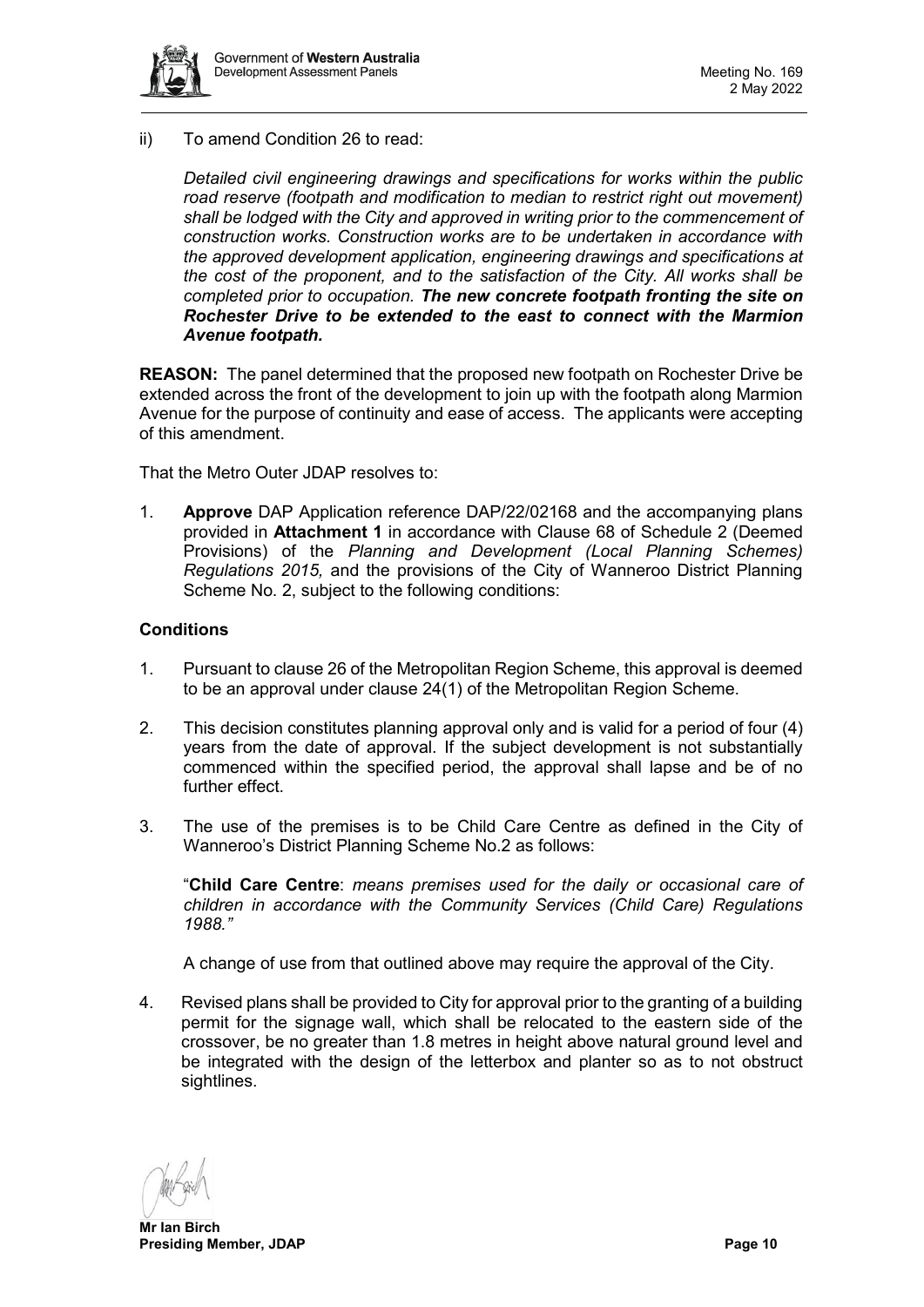

ii) To amend Condition 26 to read:

*Detailed civil engineering drawings and specifications for works within the public road reserve (footpath and modification to median to restrict right out movement) shall be lodged with the City and approved in writing prior to the commencement of construction works. Construction works are to be undertaken in accordance with the approved development application, engineering drawings and specifications at the cost of the proponent, and to the satisfaction of the City. All works shall be completed prior to occupation. The new concrete footpath fronting the site on Rochester Drive to be extended to the east to connect with the Marmion Avenue footpath.*

**REASON:** The panel determined that the proposed new footpath on Rochester Drive be extended across the front of the development to join up with the footpath along Marmion Avenue for the purpose of continuity and ease of access. The applicants were accepting of this amendment.

That the Metro Outer JDAP resolves to:

1. **Approve** DAP Application reference DAP/22/02168 and the accompanying plans provided in **Attachment 1** in accordance with Clause 68 of Schedule 2 (Deemed Provisions) of the *Planning and Development (Local Planning Schemes) Regulations 2015,* and the provisions of the City of Wanneroo District Planning Scheme No. 2, subject to the following conditions:

# **Conditions**

- 1. Pursuant to clause 26 of the Metropolitan Region Scheme, this approval is deemed to be an approval under clause 24(1) of the Metropolitan Region Scheme.
- 2. This decision constitutes planning approval only and is valid for a period of four (4) years from the date of approval. If the subject development is not substantially commenced within the specified period, the approval shall lapse and be of no further effect.
- 3. The use of the premises is to be Child Care Centre as defined in the City of Wanneroo's District Planning Scheme No.2 as follows:

"**Child Care Centre**: *means premises used for the daily or occasional care of children in accordance with the Community Services (Child Care) Regulations 1988."*

A change of use from that outlined above may require the approval of the City.

4. Revised plans shall be provided to City for approval prior to the granting of a building permit for the signage wall, which shall be relocated to the eastern side of the crossover, be no greater than 1.8 metres in height above natural ground level and be integrated with the design of the letterbox and planter so as to not obstruct sightlines.

**Mr Ian Birch Presiding Member, JDAP Page 10**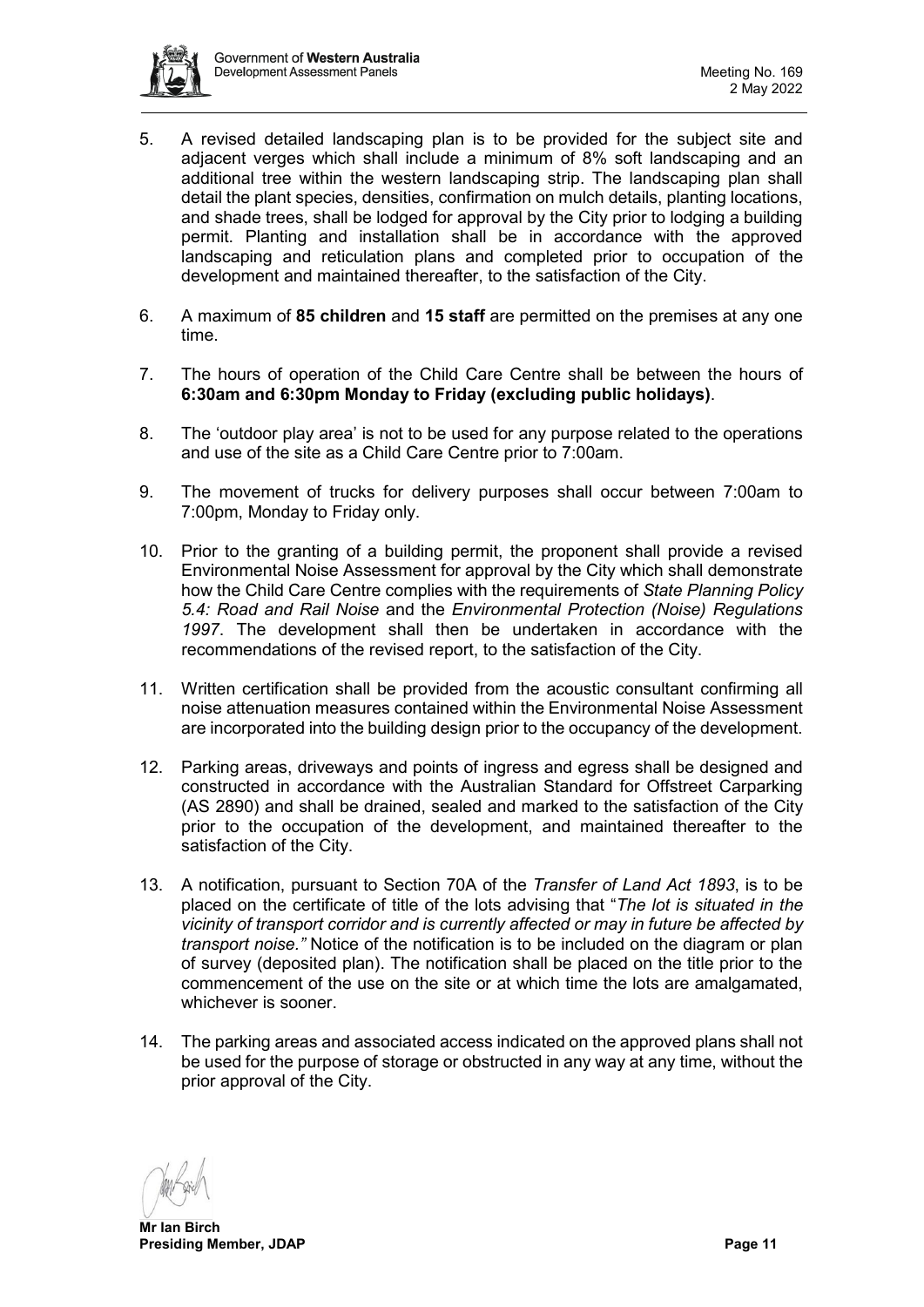

- 5. A revised detailed landscaping plan is to be provided for the subject site and adjacent verges which shall include a minimum of 8% soft landscaping and an additional tree within the western landscaping strip. The landscaping plan shall detail the plant species, densities, confirmation on mulch details, planting locations, and shade trees, shall be lodged for approval by the City prior to lodging a building permit. Planting and installation shall be in accordance with the approved landscaping and reticulation plans and completed prior to occupation of the development and maintained thereafter, to the satisfaction of the City.
- 6. A maximum of **85 children** and **15 staff** are permitted on the premises at any one time.
- 7. The hours of operation of the Child Care Centre shall be between the hours of **6:30am and 6:30pm Monday to Friday (excluding public holidays)**.
- 8. The 'outdoor play area' is not to be used for any purpose related to the operations and use of the site as a Child Care Centre prior to 7:00am.
- 9. The movement of trucks for delivery purposes shall occur between 7:00am to 7:00pm, Monday to Friday only.
- 10. Prior to the granting of a building permit, the proponent shall provide a revised Environmental Noise Assessment for approval by the City which shall demonstrate how the Child Care Centre complies with the requirements of *State Planning Policy 5.4: Road and Rail Noise* and the *Environmental Protection (Noise) Regulations 1997*. The development shall then be undertaken in accordance with the recommendations of the revised report, to the satisfaction of the City.
- 11. Written certification shall be provided from the acoustic consultant confirming all noise attenuation measures contained within the Environmental Noise Assessment are incorporated into the building design prior to the occupancy of the development.
- 12. Parking areas, driveways and points of ingress and egress shall be designed and constructed in accordance with the Australian Standard for Offstreet Carparking (AS 2890) and shall be drained, sealed and marked to the satisfaction of the City prior to the occupation of the development, and maintained thereafter to the satisfaction of the City.
- 13. A notification, pursuant to Section 70A of the *Transfer of Land Act 1893*, is to be placed on the certificate of title of the lots advising that "*The lot is situated in the vicinity of transport corridor and is currently affected or may in future be affected by transport noise."* Notice of the notification is to be included on the diagram or plan of survey (deposited plan). The notification shall be placed on the title prior to the commencement of the use on the site or at which time the lots are amalgamated, whichever is sooner.
- 14. The parking areas and associated access indicated on the approved plans shall not be used for the purpose of storage or obstructed in any way at any time, without the prior approval of the City.

**Mr Ian Birch Presiding Member, JDAP Presiding Member, JDAP**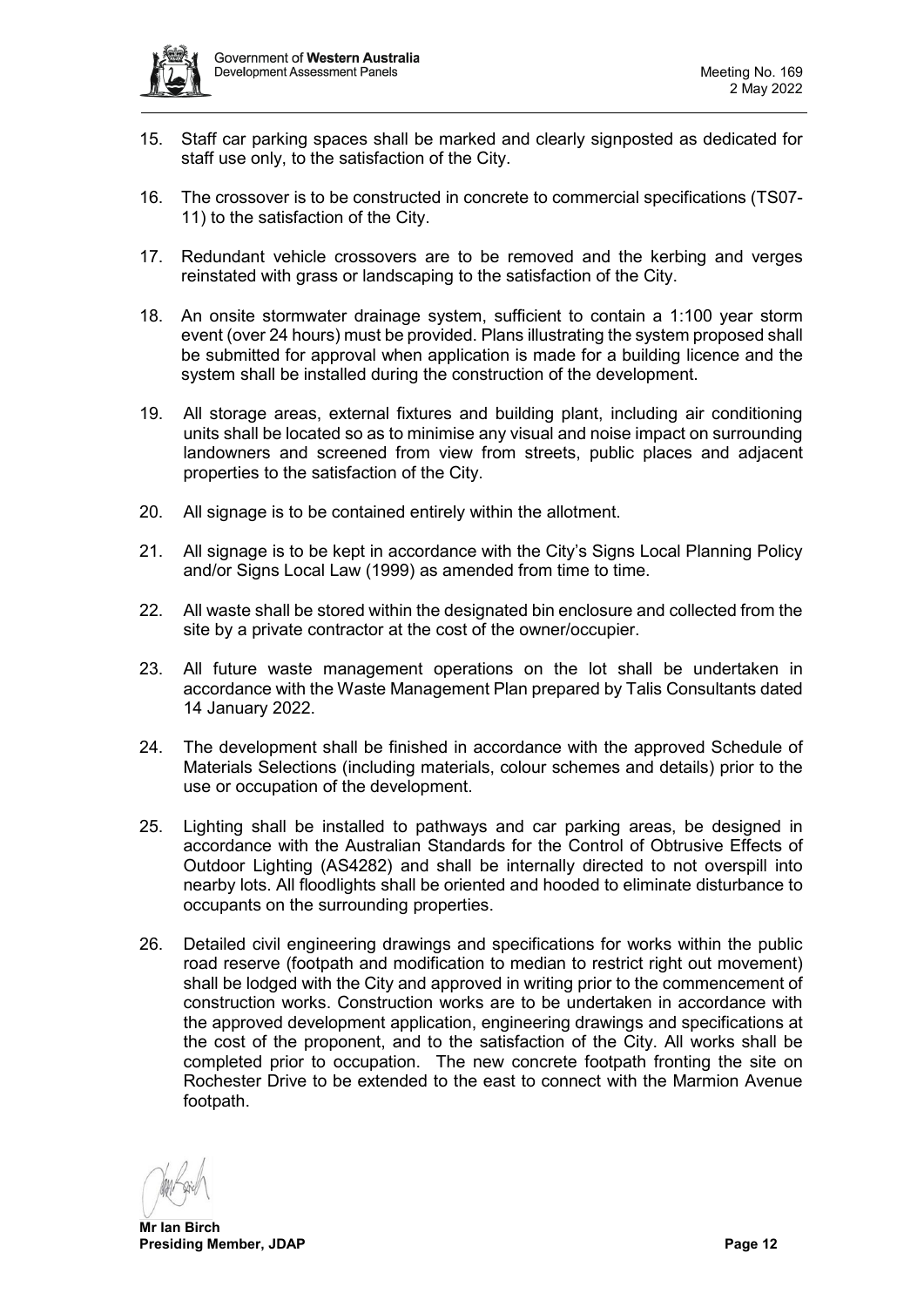

- 15. Staff car parking spaces shall be marked and clearly signposted as dedicated for staff use only, to the satisfaction of the City.
- 16. The crossover is to be constructed in concrete to commercial specifications (TS07- 11) to the satisfaction of the City.
- 17. Redundant vehicle crossovers are to be removed and the kerbing and verges reinstated with grass or landscaping to the satisfaction of the City.
- 18. An onsite stormwater drainage system, sufficient to contain a 1:100 year storm event (over 24 hours) must be provided. Plans illustrating the system proposed shall be submitted for approval when application is made for a building licence and the system shall be installed during the construction of the development.
- 19. All storage areas, external fixtures and building plant, including air conditioning units shall be located so as to minimise any visual and noise impact on surrounding landowners and screened from view from streets, public places and adjacent properties to the satisfaction of the City.
- 20. All signage is to be contained entirely within the allotment.
- 21. All signage is to be kept in accordance with the City's Signs Local Planning Policy and/or Signs Local Law (1999) as amended from time to time.
- 22. All waste shall be stored within the designated bin enclosure and collected from the site by a private contractor at the cost of the owner/occupier.
- 23. All future waste management operations on the lot shall be undertaken in accordance with the Waste Management Plan prepared by Talis Consultants dated 14 January 2022.
- 24. The development shall be finished in accordance with the approved Schedule of Materials Selections (including materials, colour schemes and details) prior to the use or occupation of the development.
- 25. Lighting shall be installed to pathways and car parking areas, be designed in accordance with the Australian Standards for the Control of Obtrusive Effects of Outdoor Lighting (AS4282) and shall be internally directed to not overspill into nearby lots. All floodlights shall be oriented and hooded to eliminate disturbance to occupants on the surrounding properties.
- 26. Detailed civil engineering drawings and specifications for works within the public road reserve (footpath and modification to median to restrict right out movement) shall be lodged with the City and approved in writing prior to the commencement of construction works. Construction works are to be undertaken in accordance with the approved development application, engineering drawings and specifications at the cost of the proponent, and to the satisfaction of the City. All works shall be completed prior to occupation. The new concrete footpath fronting the site on Rochester Drive to be extended to the east to connect with the Marmion Avenue footpath.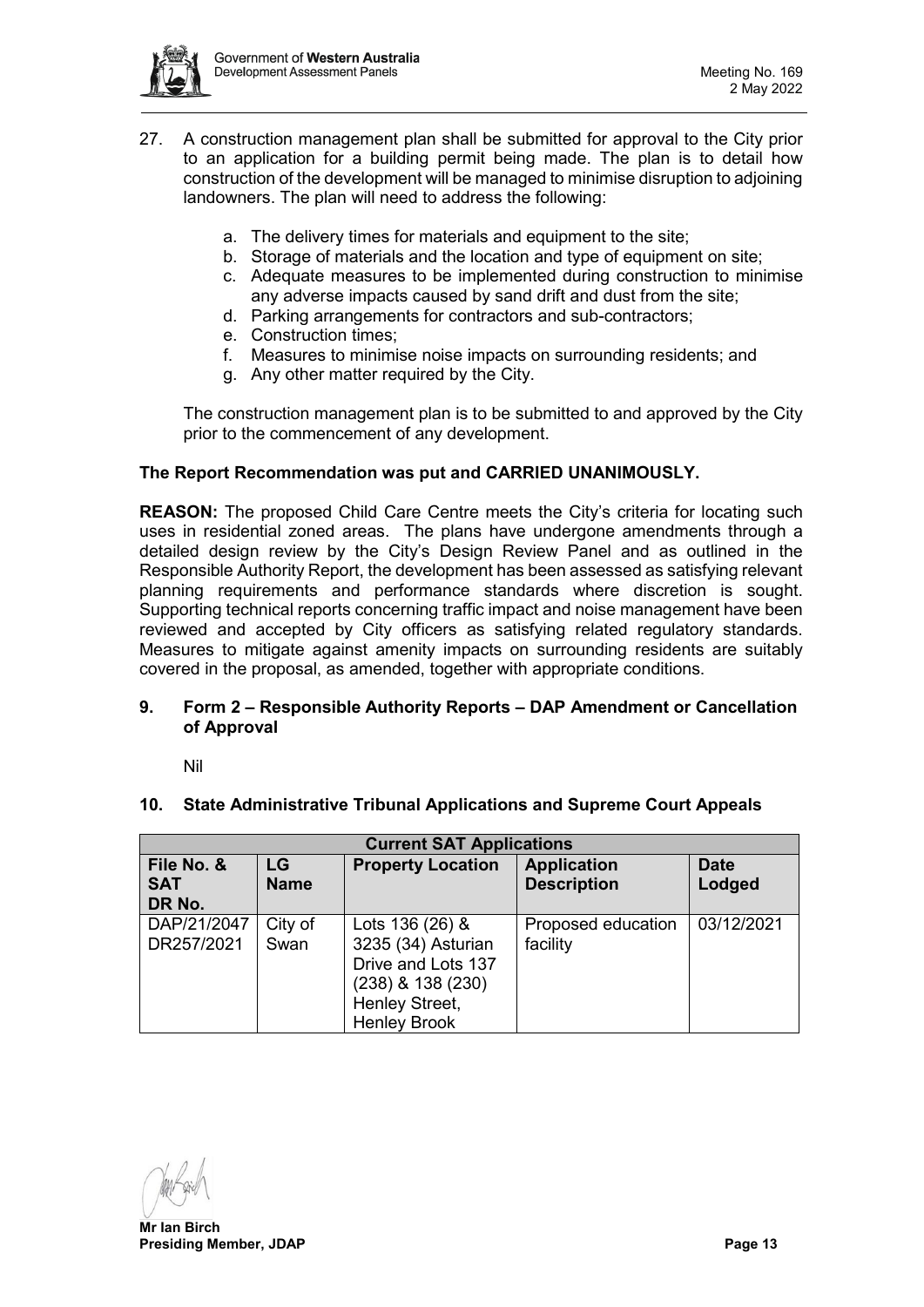

- 27. A construction management plan shall be submitted for approval to the City prior to an application for a building permit being made. The plan is to detail how construction of the development will be managed to minimise disruption to adjoining landowners. The plan will need to address the following:
	- a. The delivery times for materials and equipment to the site;
	- b. Storage of materials and the location and type of equipment on site;
	- c. Adequate measures to be implemented during construction to minimise any adverse impacts caused by sand drift and dust from the site;
	- d. Parking arrangements for contractors and sub-contractors;
	- e. Construction times;
	- f. Measures to minimise noise impacts on surrounding residents; and
	- g. Any other matter required by the City.

The construction management plan is to be submitted to and approved by the City prior to the commencement of any development.

# **The Report Recommendation was put and CARRIED UNANIMOUSLY.**

**REASON:** The proposed Child Care Centre meets the City's criteria for locating such uses in residential zoned areas. The plans have undergone amendments through a detailed design review by the City's Design Review Panel and as outlined in the Responsible Authority Report, the development has been assessed as satisfying relevant planning requirements and performance standards where discretion is sought. Supporting technical reports concerning traffic impact and noise management have been reviewed and accepted by City officers as satisfying related regulatory standards. Measures to mitigate against amenity impacts on surrounding residents are suitably covered in the proposal, as amended, together with appropriate conditions.

# <span id="page-12-0"></span>**9. Form 2 – Responsible Authority Reports – DAP Amendment or Cancellation of Approval**

Nil

# <span id="page-12-2"></span><span id="page-12-1"></span>**10. State Administrative Tribunal Applications and Supreme Court Appeals**

| <b>Current SAT Applications</b>    |                   |                                                                                                                           |                                          |                       |  |  |  |  |
|------------------------------------|-------------------|---------------------------------------------------------------------------------------------------------------------------|------------------------------------------|-----------------------|--|--|--|--|
| File No. &<br><b>SAT</b><br>DR No. | LG<br><b>Name</b> | <b>Property Location</b>                                                                                                  | <b>Application</b><br><b>Description</b> | <b>Date</b><br>Lodged |  |  |  |  |
| DAP/21/2047<br>DR257/2021          | City of<br>Swan   | Lots 136 (26) &<br>3235 (34) Asturian<br>Drive and Lots 137<br>(238) & 138 (230)<br>Henley Street,<br><b>Henley Brook</b> | Proposed education<br>facility           | 03/12/2021            |  |  |  |  |